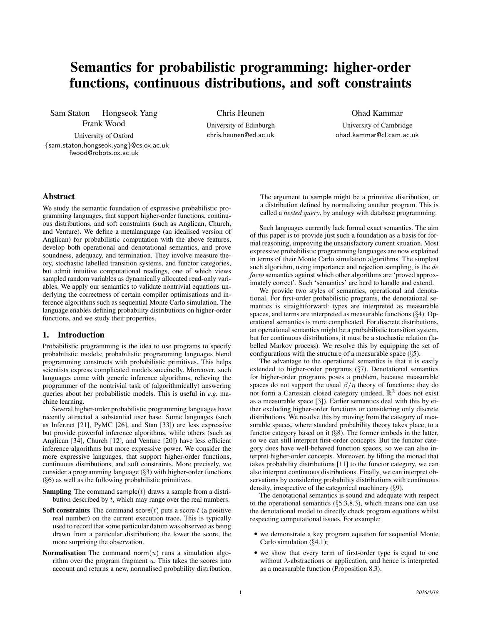# Semantics for probabilistic programming: higher-order functions, continuous distributions, and soft constraints

Sam Staton Hongseok Yang Frank Wood

University of Oxford {sam.staton,hongseok.yang}@cs.ox.ac.uk fwood@robots.ox.ac.uk

Chris Heunen

University of Edinburgh chris.heunen@ed.ac.uk Ohad Kammar

University of Cambridge ohad.kammar@cl.cam.ac.uk

# Abstract

We study the semantic foundation of expressive probabilistic programming languages, that support higher-order functions, continuous distributions, and soft constraints (such as Anglican, Church, and Venture). We define a metalanguage (an idealised version of Anglican) for probabilistic computation with the above features, develop both operational and denotational semantics, and prove soundness, adequacy, and termination. They involve measure theory, stochastic labelled transition systems, and functor categories, but admit intuitive computational readings, one of which views sampled random variables as dynamically allocated read-only variables. We apply our semantics to validate nontrivial equations underlying the correctness of certain compiler optimisations and inference algorithms such as sequential Monte Carlo simulation. The language enables defining probability distributions on higher-order functions, and we study their properties.

#### 1. Introduction

Probabilistic programming is the idea to use programs to specify probabilistic models; probabilistic programming languages blend programming constructs with probabilistic primitives. This helps scientists express complicated models succinctly. Moreover, such languages come with generic inference algorithms, relieving the programmer of the nontrivial task of (algorithmically) answering queries about her probabilistic models. This is useful in *e.g.* machine learning.

Several higher-order probabilistic programming languages have recently attracted a substantial user base. Some languages (such as Infer.net [21], PyMC [26], and Stan [33]) are less expressive but provide powerful inference algorithms, while others (such as Anglican [34], Church [12], and Venture [20]) have less efficient inference algorithms but more expressive power. We consider the more expressive languages, that support higher-order functions, continuous distributions, and soft constraints. More precisely, we consider a programming language (§3) with higher-order functions (§6) as well as the following probabilistic primitives.

- **Sampling** The command sample( $t$ ) draws a sample from a distribution described by  $t$ , which may range over the real numbers.
- Soft constraints The command score $(t)$  puts a score t (a positive real number) on the current execution trace. This is typically used to record that some particular datum was observed as being drawn from a particular distribution; the lower the score, the more surprising the observation.
- Normalisation The command norm $(u)$  runs a simulation algorithm over the program fragment  $u$ . This takes the scores into account and returns a new, normalised probability distribution.

The argument to sample might be a primitive distribution, or a distribution defined by normalizing another program. This is called a *nested query*, by analogy with database programming.

Such languages currently lack formal exact semantics. The aim of this paper is to provide just such a foundation as a basis for formal reasoning, improving the unsatisfactory current situation. Most expressive probabilistic programming languages are now explained in terms of their Monte Carlo simulation algorithms. The simplest such algorithm, using importance and rejection sampling, is the *de facto* semantics against which other algorithms are 'proved approximately correct'. Such 'semantics' are hard to handle and extend.

We provide two styles of semantics, operational and denotational. For first-order probabilistic programs, the denotational semantics is straightforward: types are interpreted as measurable spaces, and terms are interpreted as measurable functions (§4). Operational semantics is more complicated. For discrete distributions, an operational semantics might be a probabilistic transition system, but for continuous distributions, it must be a stochastic relation (labelled Markov process). We resolve this by equipping the set of configurations with the structure of a measurable space  $(\S 5)$ .

The advantage to the operational semantics is that it is easily extended to higher-order programs (§7). Denotational semantics for higher-order programs poses a problem, because measurable spaces do not support the usual  $\beta/\eta$  theory of functions: they do not form a Cartesian closed category (indeed,  $\mathbb{R}^{\mathbb{R}}$  does not exist as a measurable space [3]). Earlier semantics deal with this by either excluding higher-order functions or considering only discrete distributions. We resolve this by moving from the category of measurable spaces, where standard probability theory takes place, to a functor category based on it (§8). The former embeds in the latter, so we can still interpret first-order concepts. But the functor category does have well-behaved function spaces, so we can also interpret higher-order concepts. Moreover, by lifting the monad that takes probability distributions [11] to the functor category, we can also interpret continuous distributions. Finally, we can interpret observations by considering probability distributions with continuous density, irrespective of the categorical machinery (§9).

The denotational semantics is sound and adequate with respect to the operational semantics  $(\S5.3, 8.3)$ , which means one can use the denotational model to directly check program equations whilst respecting computational issues. For example:

- we demonstrate a key program equation for sequential Monte Carlo simulation (§4.1);
- we show that every term of first-order type is equal to one without  $\lambda$ -abstractions or application, and hence is interpreted as a measurable function (Proposition 8.3).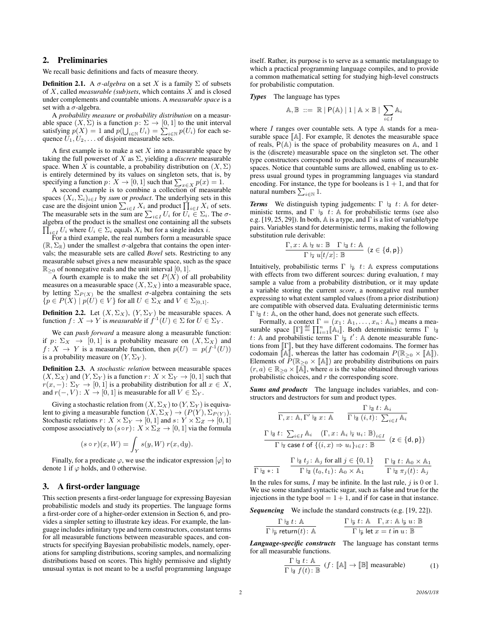# 2. Preliminaries

We recall basic definitions and facts of measure theory.

**Definition 2.1.** A  $\sigma$ -algebra on a set X is a family  $\Sigma$  of subsets of X, called *measurable (sub)sets*, which contains X and is closed under complements and countable unions. A *measurable space* is a set with a  $\sigma$ -algebra.

A *probability measure* or *probability distribution* on a measurable space  $(X, \Sigma)$  is a function  $p \colon \Sigma \to [0, 1]$  to the unit interval satisfying  $p(X) = 1$  and  $p(\bigcup_{i \in \mathbb{N}} U_i) = \sum_{i \in \mathbb{N}} p(U_i)$  for each sequence  $U_1, U_2, \ldots$  of disjoint measurable sets.

A first example is to make a set  $X$  into a measurable space by taking the full powerset of  $X$  as  $\Sigma$ , yielding a *discrete* measurable space. When X is countable, a probability distribution on  $(X, \Sigma)$ is entirely determined by its values on singleton sets, that is, by specifying a function  $p: X \to [0, 1]$  such that  $\sum_{x \in X} p(x) = 1$ .

A second example is to combine a collection of measurable spaces  $(X_i, \Sigma_i)_{i \in I}$  by *sum* or *product*. The underlying sets in this case are the disjoint union  $\sum_{i \in I} X_i$  and product  $\prod_{i \in I} X_i$  of sets. The measurable sets in the sum are  $\sum_{i \in I} U_i$  for  $U_i \in \Sigma_i$ . The  $\sigma$ algebra of the product is the smallest one containing all the subsets  $\prod_{i \in I} U_i$  where  $U_i \in \Sigma_i$  equals  $X_i$  but for a single index i.

For a third example, the real numbers form a measurable space  $(\mathbb{R}, \Sigma_{\mathbb{R}})$  under the smallest  $\sigma$ -algebra that contains the open intervals; the measurable sets are called *Borel* sets. Restricting to any measurable subset gives a new measurable space, such as the space  $\mathbb{R}_{\geq 0}$  of nonnegative reals and the unit interval [0, 1].

A fourth example is to make the set  $P(X)$  of all probability measures on a measurable space  $(X, \Sigma_X)$  into a measurable space, by letting  $\Sigma_{P(X)}$  be the smallest  $\sigma$ -algebra containing the sets  ${p \in P(X) \mid p(U) \in V}$  for all  $U \in \Sigma_X$  and  $V \in \Sigma_{[0,1]}$ .

**Definition 2.2.** Let  $(X, \Sigma_X)$ ,  $(Y, \Sigma_Y)$  be measurable spaces. A function  $f: X \to Y$  is *measurable* if  $f^{\text{-}1}(U) \in \Sigma$  for  $U \in \Sigma_Y$ .

We can *push forward* a measure along a measurable function: if  $p: \Sigma_X \to [0, 1]$  is a probability measure on  $(X, \Sigma_X)$  and  $f: X \to Y$  is a measurable function, then  $p(U) = p(f^{-1}(U))$ is a probability measure on  $(Y, \Sigma_Y)$ .

Definition 2.3. A *stochastic relation* between measurable spaces  $(X, \Sigma_X)$  and  $(Y, \Sigma_Y)$  is a function  $r: X \times \Sigma_Y \rightarrow [0, 1]$  such that  $r(x, -): \Sigma_Y \to [0, 1]$  is a probability distribution for all  $x \in X$ , and  $r(-, V): X \to [0, 1]$  is measurable for all  $V \in \Sigma_Y$ .

Giving a stochastic relation from  $(X, \Sigma_X)$  to  $(Y, \Sigma_Y)$  is equivalent to giving a measurable function  $(X, \Sigma_X) \to (P(Y), \Sigma_{P(Y)})$ . Stochastic relations  $r: X \times \Sigma_Y \to [0, 1]$  and  $s: Y \times \Sigma_Z \to [0, 1]$ compose associatively to  $(s \circ r): X \times \Sigma_Z \to [0, 1]$  via the formula

$$
(s \circ r)(x, W) = \int_Y s(y, W) r(x, dy).
$$

Finally, for a predicate  $\varphi$ , we use the indicator expression  $[\varphi]$  to denote 1 if  $\varphi$  holds, and 0 otherwise.

# 3. A first-order language

This section presents a first-order language for expressing Bayesian probabilistic models and study its properties. The language forms a first-order core of a higher-order extension in Section 6, and provides a simpler setting to illustrate key ideas. For example, the language includes infinitary type and term constructors, constant terms for all measurable functions between measurable spaces, and constructs for specifying Bayesian probabilistic models, namely, operations for sampling distributions, scoring samples, and normalizing distributions based on scores. This highly permissive and slightly unusual syntax is not meant to be a useful programming language

itself. Rather, its purpose is to serve as a semantic metalanguage to which a practical programming language compiles, and to provide a common mathematical setting for studying high-level constructs for probabilistic computation.

#### *Types* The language has types

$$
\mathbb{A}, \mathbb{B} \ ::= \ \mathbb{R} \mid \mathsf{P}(\mathbb{A}) \mid 1 \mid \mathbb{A} \times \mathbb{B} \mid \sum_{i \in I} \mathbb{A}_i
$$

where  $I$  ranges over countable sets. A type  $A$  stands for a measurable space  $\mathbb{A}$ . For example,  $\mathbb R$  denotes the measurable space of reals,  $P(A)$  is the space of probability measures on A, and 1 is the (discrete) measurable space on the singleton set. The other type constructors correspond to products and sums of measurable spaces. Notice that countable sums are allowed, enabling us to express usual ground types in programming languages via standard encoding. For instance, the type for booleans is  $1 + 1$ , and that for natural numbers  $\sum_{i\in\mathbb{N}}1$ .

*Terms* We distinguish typing judgements:  $\Gamma \vdash d : A$  for deterministic terms, and  $\Gamma \vdash_{\mathsf{p}} t: \mathbb{A}$  for probabilistic terms (see also e.g. [19, 25, 29]). In both,  $\mathbb A$  is a type, and  $\Gamma$  is a list of variable/type pairs. Variables stand for deterministic terms, making the following substitution rule derivable:

$$
\frac{\Gamma, x \colon \mathbb{A} \models u \colon \mathbb{B} \quad \Gamma \models t \colon \mathbb{A} \quad (\mathsf{z} \in \{\mathsf{d},\mathsf{p}\})}{\Gamma \models u[t/x] \colon \mathbb{B}}
$$

Intuitively, probabilistic terms  $\Gamma \vdash_{\overline{p}} t: A$  express computations with effects from two different sources: during evaluation,  $t$  may sample a value from a probability distribution, or it may update a variable storing the current *score*, a nonnegative real number expressing to what extent sampled values (from a prior distribution) are compatible with observed data. Evaluating deterministic terms  $\Gamma \vdash_{d} t: \mathbb{A}$ , on the other hand, does not generate such effects.

Formally, a context  $\Gamma = (x_1 : \mathbb{A}_1, \dots, x_n : \mathbb{A}_n)$  means a measurable space  $\llbracket \Gamma \rrbracket \stackrel{\text{def}}{=} \prod_{i=1}^n \llbracket \mathbb{A}_i \rrbracket$ . Both deterministic terms  $\Gamma \vdash t'$ . t: A and probabilistic terms  $\Gamma \vdash_{\mathsf{p}} t'$ : A denote measurable functions from  $[\![ \Gamma ]\!]$ , but they have different codomains. The former has codomain  $\mathbb{A}$ , whereas the latter has codomain  $P(\mathbb{R}_{\geq 0} \times \mathbb{A})$ . Elements of  $\overline{P}(\mathbb{R}_{\geq 0} \times \|\mathbb{A}\|)$  are probability distributions on pairs  $(r, a) \in \mathbb{R}_{\geq 0} \times [\![\bar{A}]\!]$ , where a is the value obtained through various probabilistic choices, and  $r$  the corresponding score.

*Sums and products* The language includes variables, and constructors and destructors for sum and product types.

$$
\frac{\Gamma \vdash_d t : \mathbb{A}_i}{\Gamma, x : \mathbb{A}, \Gamma' \vdash_d x : \mathbb{A}} \qquad \frac{\Gamma \vdash_d t : \mathbb{A}_i}{\Gamma \vdash_d (i, t) : \sum_{i \in I} \mathbb{A}_i}
$$
\n
$$
\frac{\Gamma \vdash_d t : \sum_{i \in I} \mathbb{A}_i \quad (\Gamma, x : \mathbb{A}_i \vdash_{\mathbb{Z}} u_i : \mathbb{B})_{i \in I}}{\Gamma \vdash_d \text{ case } t \text{ of } \{(i, x) \Rightarrow u_i\}_{i \in I} : \mathbb{B}} \quad (z \in \{d, p\})
$$

$$
\frac{\Gamma \nvert_{\mathsf{d}} \nvert t_j : \mathbb{A}_j \text{ for all } j \in \{0, 1\}}{\Gamma \nvert_{\mathsf{d}} \nvert (t_0, t_1) : \mathbb{A}_0 \times \mathbb{A}_1} \qquad \frac{\Gamma \nvert_{\mathsf{d}} \nvert t : \mathbb{A}_0 \times \mathbb{A}_1}{\Gamma \nvert_{\mathsf{d}} \nvert t_j : \mathbb{A}_j}
$$

In the rules for sums,  $I$  may be infinite. In the last rule,  $j$  is 0 or 1. We use some standard syntactic sugar, such as false and true for the injections in the type bool  $= 1 + 1$ , and if for case in that instance.

*Sequencing* We include the standard constructs (e.g. [19, 22]).

$$
\frac{\Gamma \not\vdash_d t \colon \mathbb{A}}{\Gamma \not\vdash_{\mathsf{P}} \mathsf{return}(t) \colon \mathbb{A}} \qquad \qquad \frac{\Gamma \not\vdash_{\mathsf{P}} t \colon \mathbb{A} \quad \Gamma, x \colon \mathbb{A} \not\vdash_{\mathsf{P}} u \colon \mathbb{B}}{\Gamma \not\vdash_{\mathsf{P}} \mathsf{let} \ x = t \ \mathsf{in} \ u \colon \mathbb{B}}
$$

*Language-specific constructs* The language has constant terms for all measurable functions.

$$
\frac{\Gamma \downharpoonright_{\text{d}} t : \mathbb{A}}{\Gamma \downharpoonright_{\text{d}} f(t) : \mathbb{B}} \ (f \colon \llbracket \mathbb{A} \rrbracket \to \llbracket \mathbb{B} \rrbracket \ \text{measurable}) \tag{1}
$$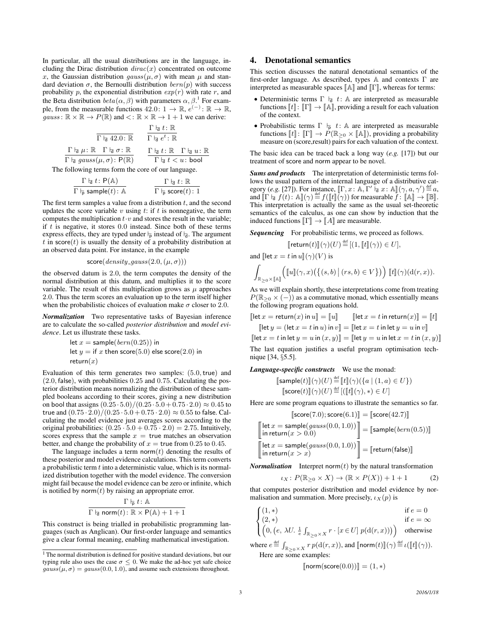In particular, all the usual distributions are in the language, including the Dirac distribution  $dirac(x)$  concentrated on outcome x, the Gaussian distribution  $gauss(\mu, \sigma)$  with mean  $\mu$  and standard deviation  $\sigma$ , the Bernoulli distribution  $bern(p)$  with success probability p, the exponential distribution  $exp(r)$  with rate r, and the Beta distribution  $beta(\alpha, \beta)$  with parameters  $\alpha, \beta$ <sup>1</sup> For example, from the measurable functions  $42.0: 1 \rightarrow \mathbb{R}, e^{(-)}: \mathbb{R} \rightarrow \mathbb{R}$ ,  $gauss: \mathbb{R} \times \mathbb{R} \to P(\mathbb{R})$  and  $\lt: \mathbb{R} \times \mathbb{R} \to 1 + 1$  we can derive:

$$
\frac{\Gamma \nmid_{\vec{\mathsf{d}}} t : \mathbb{R}}{\Gamma \nmid_{\vec{\mathsf{d}}} 42.0 : \mathbb{R}} \qquad \frac{\Gamma \nmid_{\vec{\mathsf{d}}} t : \mathbb{R}}{\Gamma \nmid_{\vec{\mathsf{d}}} e^t : \mathbb{R}}
$$
\n
$$
\frac{\Gamma \nmid_{\vec{\mathsf{d}}} \mu : \mathbb{R} \quad \Gamma \nmid_{\vec{\mathsf{d}}} \sigma : \mathbb{R}}{\Gamma \nmid_{\vec{\mathsf{d}}} t : \mathbb{R} \quad \Gamma \nmid_{\vec{\mathsf{d}}} t : \mathbb{R} \quad \Gamma \nmid_{\vec{\mathsf{d}}} u : \mathbb{R}}}{\Gamma \nmid_{\vec{\mathsf{d}}} t < u : \text{bool}}
$$

The following terms form the core of our language.

$$
\frac{\Gamma \not\vdash_{\mathsf{d}} t \colon \mathsf{P}(\mathbb{A})}{\Gamma \not\vdash_{\mathsf{p}} \mathsf{sample}(t) \colon \mathbb{A}} \qquad \qquad \frac{\Gamma \not\vdash_{\mathsf{d}} t \colon \mathbb{R}}{\Gamma \not\vdash_{\mathsf{p}} \mathsf{score}(t) \colon 1}
$$

The first term samples a value from a distribution  $t$ , and the second updates the score variable v using  $t$ : if  $t$  is nonnegative, the term computes the multiplication  $t \cdot v$  and stores the result in the variable; if  $t$  is negative, it stores  $0.0$  instead. Since both of these terms express effects, they are typed under  $\frac{1}{p}$  instead of  $\frac{1}{d}$ . The argument  $t$  in score $(t)$  is usually the density of a probability distribution at an observed data point. For instance, in the example

$$
\mathsf{score}(density\_gauss(2.0, (\mu, \sigma)))
$$

the observed datum is 2.0, the term computes the density of the normal distribution at this datum, and multiplies it to the score variable. The result of this multiplication grows as  $\mu$  approaches 2.0. Thus the term scores an evaluation up to the term itself higher when the probabilistic choices of evaluation make  $\sigma$  closer to 2.0.

*Normalization* Two representative tasks of Bayesian inference are to calculate the so-called *posterior distribution* and *model evidence*. Let us illustrate these tasks.

let 
$$
x = \text{sample}(bern(0.25))
$$
 in  
let  $y = \text{if } x$  then score(5.0) else score(2.0) in  
return $(x)$ 

Evaluation of this term generates two samples:  $(5.0, true)$  and (2.0, false), with probabilities 0.25 and 0.75. Calculating the posterior distribution means normalizing the distribution of these sampled booleans according to their scores, giving a new distribution on bool that assigns  $(0.25 \cdot 5.0)/(0.25 \cdot 5.0 + 0.75 \cdot 2.0) \approx 0.45$  to true and  $(0.75 \cdot 2.0)/(0.25 \cdot 5.0 + 0.75 \cdot 2.0) \approx 0.55$  to false. Calculating the model evidence just averages scores according to the original probabilities:  $(0.25 \cdot 5.0 + 0.75 \cdot 2.0) = 2.75$ . Intuitively, scores express that the sample  $x = \text{true}$  matches an observation better, and change the probability of  $x =$  true from 0.25 to 0.45.

The language includes a term norm $(t)$  denoting the results of these posterior and model evidence calculations. This term converts a probabilistic term  $t$  into a deterministic value, which is its normalized distribution together with the model evidence. The conversion might fail because the model evidence can be zero or infinite, which is notified by norm $(t)$  by raising an appropriate error.

$$
\frac{\Gamma \models_\mathrm{P} t \colon \mathbb{A}}{\Gamma \models_\mathrm{I} \mathrm{norm}(t) \colon \mathbb{R} \times \mathrm{P}(\mathbb{A}) + 1 + 1}
$$

This construct is being trialled in probabilistic programming languages (such as Anglican). Our first-order language and semantics give a clear formal meaning, enabling mathematical investigation.

# 4. Denotational semantics

This section discusses the natural denotational semantics of the first-order language. As described, types A and contexts Γ are interpreted as measurable spaces  $\llbracket A \rrbracket$  and  $\llbracket \Gamma \rrbracket$ , whereas for terms:

- Deterministic terms  $\Gamma \vdash_{d} t: A$  are interpreted as measurable functions  $[\![t]\!] \colon [\![\Gamma]\!] \to [\![\mathbb{A}]\!] ,$  providing a result for each valuation of the context.
- Probabilistic terms  $\Gamma \vdash p t: A$  are interpreted as measurable functions  $[[t]] : [[\Gamma]] \to P(\mathbb{R}_{\geq 0} \times [\![ \mathbb{A} ]\!])$ , providing a probability measure on (score,result) pairs for each valuation of the context.

The basic idea can be traced back a long way (*e.g.* [17]) but our treatment of score and norm appear to be novel.

*Sums and products* The interpretation of deterministic terms follows the usual pattern of the internal language of a distributive category (*e.g.* [27]). For instance,  $[\Gamma, x : \mathbb{A}, \Gamma' \models x : \mathbb{A}](\gamma, a, \gamma') \stackrel{\text{def}}{=} a$ ,<br>and  $[\Gamma \vdash f(t) : \mathbb{A}](\gamma) \stackrel{\text{def}}{=} f(\mathbb{H}](\gamma))$  for measurable  $f : \mathbb{A} \vdash \gamma$ .  $[\mathbb{R}]$ and  $\llbracket \Gamma \rvert_{\overline{d}} f(t)$ :  $\mathbb{A} \rrbracket(\gamma) \stackrel{\text{def}}{=} f(\llbracket t \rrbracket(\gamma))$  for measurable  $\overline{f}$ :  $\llbracket \mathbb{A} \rrbracket \to \llbracket \mathbb{B} \rrbracket$ .<br>This interpretation is actually the same as the usual set theoretic This interpretation is actually the same as the usual set-theoretic semantics of the calculus, as one can show by induction that the induced functions  $\llbracket \Gamma \rrbracket \rightarrow \llbracket A \rrbracket$  are measurable.

*Sequencing* For probabilistic terms, we proceed as follows.

$$
\llbracket \mathsf{return}(t) \rrbracket(\gamma)(U) \stackrel{\text{def}}{=} \llbracket (1, \llbracket t \rrbracket(\gamma)) \in U \rrbracket,
$$

and  $\left[\left[\det x = t \text{ in } u\right](\gamma)(V)\right]$  is

$$
\int_{\mathbb{R}_{\geq 0}\times\mathbb{A}\mathbb{A}} \left( [\![u]\!](\gamma, x) \big( \{(s, b) \mid (rs, b) \in V \} \big) \right) [\![t]\!](\gamma)(\mathrm{d}(r, x)).
$$

As we will explain shortly, these interpretations come from treating  $P(\mathbb{R}_{\geq 0} \times (-))$  as a commutative monad, which essentially means the following program equations hold.

$$
[\text{let } x = \text{return}(x) \text{ in } u] = [\![u]\!] \qquad [\text{let } x = t \text{ in return}(x)] = [\![t]\!]
$$

$$
[\text{let } y = (\text{let } x = t \text{ in } u) \text{ in } v] = [\text{let } x = t \text{ in } \text{let } y = u \text{ in } v]
$$

$$
[\mathsf{let}\,x = t\,\mathsf{in}\,\mathsf{let}\,y = u\,\mathsf{in}\,(x,y)]\!]=[\mathsf{let}\,y = u\,\mathsf{in}\,\mathsf{let}\,x = t\,\mathsf{in}\,(x,y)]\!]
$$

The last equation justifies a useful program optimisation technique [34, §5.5].

*Language-specific constructs* We use the monad:

$$
\begin{aligned} \n\text{[sample}(t) \mathbb{I}(\gamma)(U) &\stackrel{\text{def}}{=} \n\mathbb{I} \mathbb{I}(\gamma)(\{a \mid (1, a) \in U\}) \\ \n\text{[score}(t) \mathbb{I}(\gamma)(U) &\stackrel{\text{def}}{=} \n\mathbb{I} \left( \mathbb{I} \mathbb{I}(\gamma), * \right) \in U \n\end{aligned}
$$

Here are some program equations to illustrate the semantics so far.

$$
[\text{score}(7.0); \text{score}(6.1)] = [\text{score}(42.7)]
$$
\n
$$
\begin{aligned}\n\text{let } x &= \text{sample}(gauss(0.0, 1.0)) \\
\text{in return}(x > 0.0) \\
\text{let } x &= \text{sample}(gauss(0.0, 1.0)) \\
\text{in return}(x > x)\n\end{aligned}\n\begin{aligned}\n\text{[score(42.7)]} \\
\text{[sample}(bern(0.5))] \\
\text{in return}(x > 0.\n\end{aligned}
$$

*Normalisation* Interpret norm $(t)$  by the natural transformation

$$
\iota_X \colon P(\mathbb{R}_{\geq 0} \times X) \to (\mathbb{R} \times P(X)) + 1 + 1 \tag{2}
$$

that computes posterior distribution and model evidence by normalisation and summation. More precisely,  $i_X(p)$  is

$$
\begin{cases}\n(1,*) & \text{if } e = 0 \\
(2,*) & \text{if } e = \infty \\
\left(0, \left(e, \lambda U. \frac{1}{e} \int_{\mathbb{R}_{\geq 0} \times X} r \cdot [x \in U] p(\mathbf{d}(r, x))\right)\right) & \text{otherwise}\n\end{cases}
$$
\nwhere  $e \stackrel{\text{def}}{=} \int_{\mathbb{R}_{\geq 0} \times X} r p(\mathbf{d}(r, x))$ , and  $[\text{norm}(t)](\gamma) \stackrel{\text{def}}{=} \iota([\![t]\!](\gamma))$ .

Here are some examples:

$$
[\text{norm}(\text{score}(0.0))] = (1, *)
$$

s

s

 $1$  The normal distribution is defined for positive standard deviations, but our typing rule also uses the case  $\sigma \leq 0$ . We make the ad-hoc yet safe choice  $gauss(\mu, \sigma) = gauss(0.0, 1.0)$ , and assume such extensions throughout.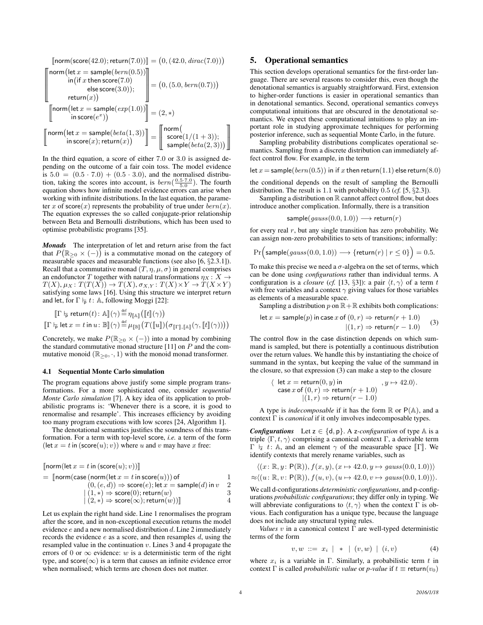$$
\begin{array}{c}\n\left[\text{norm}(\text{score}(42.0); \text{return}(7.0))\right] = \left(0, (42.0, \text{dirac}(7.0))\right) \\
\text{norm}\left(\text{let } x = \text{sample}(\text{bern}(0.5))\right) \\
\text{in}\left(\text{if } x \text{ then } \text{score}(7.0)\right) \\
\text{else } \text{score}(3.0))\right) \\
\text{return}(x)\n\end{array}\n\bigg| = \left(0, (5.0, \text{bern}(0.7))\right) \\
\text{return}\left(\text{let } x = \text{sample}(\text{exp}(1.0))\right) \\
\text{norm}\left(\text{let } x = \text{sample}(\text{exp}(1.0))\right) \\
\text{in } \text{score}(e^x)\n\end{array}\n\bigg| = \left(2, *\right) \\
\text{norm}\left(\text{let } x = \text{sample}(\text{beta}(1, 3))\right) \\
\text{in } \text{score}(x); \text{return}(x)\n\bigg) = \begin{bmatrix}\n\text{norm}\left(\text{norm}\left(\text{length}(1, 3)\right), \text{norm}\left(\text{length}(1, 3)\right), \text{norm}\left(\text{length}(1, 3)\right), \text{norm}\left(\text{length}(1, 3)\right), \text{norm}\left(\text{length}(1, 3)\right), \text{norm}\left(\text{length}(1, 3)\right), \text{norm}\left(\text{length}(1, 3)\right), \text{norm}\left(\text{width}(1, 3)\right)\n\end{bmatrix}
$$

In the third equation, a score of either 7.0 or 3.0 is assigned depending on the outcome of a fair coin toss. The model evidence is  $5.0 = (0.5 \cdot 7.0) + (0.5 \cdot 3.0)$ , and the normalised distribution, taking the scores into account, is  $bern(\frac{0.5 \cdot 7.0}{5.0})$ . The fourth equation shows how infinite model evidence errors can arise when working with infinite distributions. In the last equation, the parameter x of score $(x)$  represents the probability of true under  $bern(x)$ . The equation expresses the so called conjugate-prior relationship between Beta and Bernoulli distributions, which has been used to optimise probabilistic programs [35].

*Monads* The interpretation of let and return arise from the fact that  $P(\mathbb{R}_{\geq 0} \times (-))$  is a commutative monad on the category of measurable spaces and measurable functions (see also [6, §2.3.1]). Recall that a commutative monad  $(T, \eta, \mu, \sigma)$  in general comprises an endofunctor T together with natural transformations  $\eta_X : X \to Y$  $T(X), \mu_X : T(T(X)) \to T(X), \sigma_{X,Y} : T(X) \times Y \to T(X \times Y)$ satisfying some laws [16]. Using this structure we interpret return and let, for  $\Gamma \vdash_{p} t: A$ , following Moggi [22]:

$$
\begin{aligned}\n\left[\Gamma \vdash_{\mathsf{P}} \mathsf{return}(t) \colon \mathbb{A} \right](\gamma) &\stackrel{\text{def}}{=} \eta_{\llbracket \mathbb{A} \rrbracket} \left( \llbracket t \rrbracket(\gamma) \right) \\
\left[\Gamma \vdash_{\mathsf{P}} \mathsf{let} \, x = t \, \mathsf{in} \, u \colon \mathbb{B} \rrbracket(\gamma) \stackrel{\text{def}}{=} \mu_{\llbracket \mathbb{B} \rrbracket} \left( T(\llbracket u \rrbracket) \left( \sigma_{\llbracket \Gamma \rrbracket, \llbracket \mathbb{A} \rrbracket}(\gamma, \llbracket t \rrbracket(\gamma)) \right) \right)\n\end{aligned}
$$

Concretely, we make  $P(\mathbb{R}_{\geq 0} \times (-))$  into a monad by combining the standard commutative monad structure [11] on  $P$  and the commutative monoid ( $\mathbb{R}_{\geq 0}, \cdot, 1$ ) with the monoid monad transformer.

#### 4.1 Sequential Monte Carlo simulation

The program equations above justify some simple program transformations. For a more sophisticated one, consider *sequential Monte Carlo simulation* [7]. A key idea of its application to probabilistic programs is: 'Whenever there is a score, it is good to renormalise and resample'. This increases efficiency by avoiding too many program executions with low scores [24, Algorithm 1].

The denotational semantics justifies the soundness of this transformation. For a term with top-level score, *i.e.* a term of the form  $(\text{let } x = t \text{ in } (\text{score}(u); v))$  where u and v may have x free:

<sup>J</sup>norm(let <sup>x</sup> <sup>=</sup> <sup>t</sup>in (score(u); <sup>v</sup>))<sup>K</sup> <sup>=</sup> <sup>J</sup>norm(case (norm(let <sup>x</sup> <sup>=</sup> <sup>t</sup>in score(u))) of <sup>1</sup> (0,(e, d)) ⇒ score(e); let x = sample(d)in v 2 | (1, ∗) ⇒ score(0);return(w) 3 <sup>|</sup> (2, <sup>∗</sup>) <sup>⇒</sup> score(∞);return(w))<sup>K</sup> <sup>4</sup>

Let us explain the right hand side. Line 1 renormalises the program after the score, and in non-exceptional execution returns the model evidence  $e$  and a new normalised distribution  $d$ . Line 2 immediately records the evidence e as a score, and then resamples d, using the resampled value in the continuation  $v$ . Lines 3 and 4 propagate the errors of 0 or  $\infty$  evidence: w is a deterministic term of the right type, and score( $\infty$ ) is a term that causes an infinite evidence error when normalised; which terms are chosen does not matter.

# 5. Operational semantics

This section develops operational semantics for the first-order language. There are several reasons to consider this, even though the denotational semantics is arguably straightforward. First, extension to higher-order functions is easier in operational semantics than in denotational semantics. Second, operational semantics conveys computational intuitions that are obscured in the denotational semantics. We expect these computational intuitions to play an important role in studying approximate techniques for performing posterior inference, such as sequential Monte Carlo, in the future.

Sampling probability distributions complicates operational semantics. Sampling from a discrete distribution can immediately affect control flow. For example, in the term

let  $x =$ sample $(bern(0.5))$  in if  $x$  then return $(1.1)$  else return $(8.0)$ 

the conditional depends on the result of sampling the Bernoulli distribution. The result is 1.1 with probability 0.5 (*cf.* [5, §2.3]).

Sampling a distribution on  $\mathbb R$  cannot affect control flow, but does introduce another complication. Informally, there is a transition

$$
\mathsf{sample}(gauss(0.0, 1.0)) \longrightarrow \mathsf{return}(r)
$$

for every real  $r$ , but any single transition has zero probability. We can assign non-zero probabilities to sets of transitions; informally:

$$
\Pr\Big(\textsf{sample}(gauss(0.0, 1.0)) \longrightarrow \{\textsf{return}(r) \mid r \le 0\}\Big) = 0.5.
$$

To make this precise we need a  $\sigma$ -algebra on the set of terms, which can be done using *configurations* rather than individual terms. A configuration is a *closure* (*cf.* [13, §3]): a pair  $\langle t, \gamma \rangle$  of a term t with free variables and a context  $\gamma$  giving values for those variables as elements of a measurable space.

Sampling a distribution p on  $\mathbb{R} + \mathbb{R}$  exhibits both complications:

let 
$$
x = \text{sample}(p)
$$
 in case  $x$  of  $(0, r) \Rightarrow \text{return}(r + 1.0)$   
 $|(1, r) \Rightarrow \text{return}(r - 1.0)$  (3)

The control flow in the case distinction depends on which summand is sampled, but there is potentially a continuous distribution over the return values. We handle this by instantiating the choice of summand in the syntax, but keeping the value of the summand in the closure, so that expression (3) can make a step to the closure

$$
\langle \text{ let } x = \text{return}(0, y) \text{ in } , y \mapsto 42.0 \rangle.
$$
  
\n
$$
\text{case } x \text{ of } (0, r) \Rightarrow \text{return}(r + 1.0)
$$
  
\n
$$
|(1, r) \Rightarrow \text{return}(r - 1.0)
$$

A type is *indecomposable* if it has the form  $\mathbb{R}$  or  $P(\mathbb{A})$ , and a context Γ is *canonical* if it only involves indecomposable types.

*Configurations* Let  $z \in \{d, p\}$ . A z-configuration of type  $A$  is a triple  $\langle \Gamma, t, \gamma \rangle$  comprising a canonical context Γ, a derivable term  $\Gamma \vdash z t: \mathbb{A}$ , and an element  $\gamma$  of the measurable space  $\llbracket \Gamma \rrbracket$ . We identify contexts that merely rename variables, such as

$$
\langle (x: \mathbb{R}, y: \mathsf{P}(\mathbb{R})), f(x, y), (x \mapsto 42.0, y \mapsto gauss(0.0, 1.0)) \rangle
$$
  

$$
\approx \langle (u: \mathbb{R}, v: \mathsf{P}(\mathbb{R})), f(u, v), (u \mapsto 42.0, v \mapsto gauss(0.0, 1.0)) \rangle.
$$

We call d-configurations *deterministic configurations*, and p-configurations *probabilistic configurations*; they differ only in typing. We will abbreviate configurations to  $\langle t, \gamma \rangle$  when the context  $\Gamma$  is obvious. Each configuration has a unique type, because the language does not include any structural typing rules.

*Values* v in a canonical context Γ are well-typed deterministic terms of the form

$$
v, w ::= x_i | * | (v, w) | (i, v) \tag{4}
$$

where  $x_i$  is a variable in Γ. Similarly, a probabilistic term t in context  $\Gamma$  is called *probabilistic value* or *p-value* if  $t \equiv \text{return}(v_0)$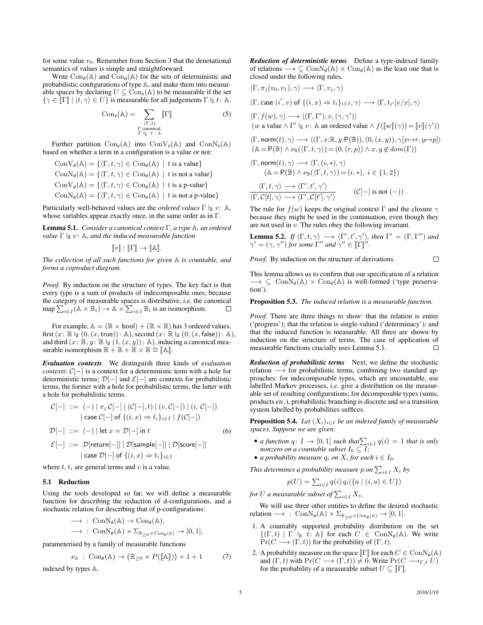for some value  $v_0$ . Remember from Section 3 that the denotational semantics of values is simple and straightforward.

Write  $Con_{d}(\mathbb{A})$  and  $Con_{p}(\mathbb{A})$  for the sets of deterministic and probabilistic configurations of type A, and make them into measurable spaces by declaring  $U \subseteq \text{Con}_{z}(\mathbb{A})$  to be measurable if the set  $\{\gamma \in \llbracket \Gamma \rrbracket | \langle t, \gamma \rangle \in U\}$  is measurable for all judgements  $\Gamma \models t : \mathbb{A}.$ 

$$
Con_z(\mathbb{A}) = \sum_{\substack{(\Gamma,t) \\ \Gamma \text{ canonical,} \\ \Gamma \vdash z \ t \ \colon \mathbb{A}}} [\![\Gamma]\!]
$$
 (5)

Further partition  $Con_{z}(\mathbb{A})$  into  $Con_{z}(\mathbb{A})$  and  $Con_{z}(\mathbb{A})$ based on whether a term in a configuration is a value or not:

 $ConV_{d}(\mathbb{A}) = \{ \langle \Gamma, t, \gamma \rangle \in Con_{d}(\mathbb{A}) \mid t \text{ is a value} \}$  $ConN_d(\mathbb{A}) = \{ \langle \Gamma, t, \gamma \rangle \in Con_d(\mathbb{A}) \mid t \text{ is not a value} \}$  $ConV_{p}(\mathbb{A}) = \{ \langle \Gamma, t, \gamma \rangle \in Con_{p}(\mathbb{A}) \mid t \text{ is a } p\text{-value} \}$  $ConN_{p}(\mathbb{A}) = \{ \langle \Gamma, t, \gamma \rangle \in Con_{p}(\mathbb{A}) \mid t \text{ is not a } p\text{-value} \}$ 

Particularly well-behaved values are the *ordered values*  $\Gamma \vdash a v : A$ , whose variables appear exactly once, in the same order as in Γ.

Lemma 5.1. *Consider a canonical context* Γ*, a type* A*, an ordered value*  $\Gamma$   $\vdash_{d}$   $v:$  A, and the induced measurable function

$$
[\![v]\!]: [\![\Gamma]\!] \to [\![\mathbb{A}]\!].
$$

*The collection of all such functions for given* A *is countable, and forms a coproduct diagram.*

*Proof.* By induction on the structure of types. The key fact is that every type is a sum of products of indecomposable ones, because the category of measurable spaces is distributive, *i.e.* the canonical map  $\sum_{i \in I} (A \times B_i) \rightarrow A \times \sum_{i \in I} B_i$  is an isomorphism.  $\Box$ 

For example,  $A = (\mathbb{R} \times \text{bool}) + (\mathbb{R} \times \mathbb{R})$  has 3 ordered values, first  $(x: \mathbb{R} \nmid_{d} (0, (x,\text{true}))$ : A), second  $(x: \mathbb{R} \nmid_{d} (0, (x,\text{false}))$ : A), and third  $(x: \mathbb{R}, y: \mathbb{R} \mid \mathfrak{q} (1,(x, y)): \mathbb{A})$ , inducing a canonical measurable isomorphism  $\mathbb{R} + \mathbb{R} + \mathbb{R} \times \mathbb{R} \cong [\![ \mathbb{A} ]\!]$ .

*Evaluation contexts* We distinguish three kinds of *evaluation contexts*:  $C[-]$  is a context for a deterministic term with a hole for deterministic terms;  $\mathcal{D}[-]$  and  $\mathcal{E}[-]$  are contexts for probabilistic terms, the former with a hole for probabilistic terms, the latter with a hole for probabilistic terms.

$$
\mathcal{C}[-] ::= (-) | \pi_j \mathcal{C}[-] | (\mathcal{C}[-], t) | (v, \mathcal{C}[-]) | (i, \mathcal{C}[-])
$$
\n
$$
| \cose \mathcal{C}[-] \text{ of } \{(i, x) \Rightarrow t_i\}_{i \in I} | f(\mathcal{C}[-])
$$
\n
$$
\mathcal{D}[-] ::= (-) | \text{let } x = \mathcal{D}[-] \text{ in } t \tag{6}
$$
\n
$$
\mathcal{E}[-] ::= \mathcal{D}[\text{return}[-]] | \mathcal{D}[\text{sample}[-]] | \mathcal{D}[\text{score}[-]]
$$
\n
$$
| \case \mathcal{D}[-] \text{ of } \{(i, x) \Rightarrow t_i\}_{i \in I}
$$

where  $t$ ,  $t_i$  are general terms and  $v$  is a value.

#### 5.1 Reduction

Using the tools developed so far, we will define a measurable function for describing the reduction of d-configurations, and a stochastic relation for describing that of p-configurations:

$$
\begin{aligned} &\longrightarrow\,:\; {\rm ConN}_d({\mathbb {A}}) \to {\rm Con}_d({\mathbb {A}}),\\ &\longrightarrow\,:\; {\rm ConN}_p({\mathbb {A}}) \times \Sigma_{{\mathbb {R}}_{\geq 0} \times {\rm Con}_p({\mathbb {A}})} \to [0,1], \end{aligned}
$$

parameterised by a family of measurable functions

$$
\nu_{\mathbb{A}}\;:\;{\rm Con}_{p}(\mathbb{A})\to\big(\mathbb{R}_{\geq0}\times P([\![\mathbb{A}]\!])\big)+1+1\qquad \quad (7)
$$

indexed by types A.

*Reduction of deterministic terms* Define a type-indexed family of relations  $\longrightarrow \subseteq \text{ConN}_d(\mathbb{A}) \times \text{Con}_d(\mathbb{A})$  as the least one that is closed under the following rules.

$$
\langle \Gamma, \pi_j(v_0, v_1), \gamma \rangle \longrightarrow \langle \Gamma, v_j, \gamma \rangle
$$

 $\langle \Gamma, \mathsf{case}\,(i',v) \text{ of }\{(i,x) \Rightarrow t_i\}_{i \in I}, \gamma \rangle \longrightarrow \langle \Gamma, t_{i'}[v/x], \gamma \rangle$ 

$$
\langle \Gamma, f(w), \gamma \rangle \longrightarrow \langle (\Gamma, \Gamma'), v, (\gamma, \gamma') \rangle
$$
  
(w a value  $\wedge \Gamma' \vdash_{\mathbf{d}} v : \mathbb{A}$  an ordered value  $\wedge f([\![w]\!](\gamma)) = [\![v]\!](\gamma'))$ 

$$
\langle \Gamma, \text{norm}(t), \gamma \rangle \longrightarrow \langle (\Gamma, x: \mathbb{R}, y: \mathsf{P}(\mathbb{B})), (0, (x, y)), \gamma[x \mapsto r, y \mapsto p] \rangle (\mathbb{A} = \mathsf{P}(\mathbb{B}) \land \nu_{\mathbb{B}}(\langle \Gamma, t, \gamma \rangle) = (0, (r, p)) \land x, y \notin dom(\Gamma))
$$

$$
\langle \Gamma, \text{norm}(t), \gamma \rangle \longrightarrow \langle \Gamma, (i, *), \gamma \rangle
$$
  

$$
(\mathbb{A} = \mathsf{P}(\mathbb{B}) \land \nu_{\mathbb{B}}(\langle \Gamma, t, \gamma \rangle) = (i, *), i \in \{1, 2\})
$$

$$
\frac{\langle \Gamma, t, \gamma \rangle \longrightarrow \langle \Gamma', t', \gamma' \rangle}{\langle \Gamma, C[t], \gamma \rangle \longrightarrow \langle \Gamma', C[t'], \gamma' \rangle} \qquad (C[-] \text{ is not } (-))
$$

The rule for  $f(w)$  keeps the original context Γ and the closure  $\gamma$ because they might be used in the continuation, even though they are not used in  $v$ . The rules obey the following invariant.

**Lemma 5.2.** If 
$$
\langle \Gamma, t, \gamma \rangle \longrightarrow \langle \Gamma', t', \gamma' \rangle
$$
, then  $\Gamma' = (\Gamma, \Gamma'')$  and  $\gamma' = (\gamma, \gamma'')$  for some  $\Gamma''$  and  $\gamma'' \in [\![\Gamma]\!]''$ .

*Proof.* By induction on the structure of derivations.  $\Box$ 

This lemma allows us to confirm that our specification of a relation  $\rightarrow \subseteq \text{ConN}_{d}(\mathbb{A}) \times \text{Con}_{d}(\mathbb{A})$  is well-formed ('type preservation').

Proposition 5.3. *The induced relation is a measurable function.*

*Proof.* There are three things to show: that the relation is entire ('progress'); that the relation is single-valued ('determinacy'); and that the induced function is measurable. All three are shown by induction on the structure of terms. The case of application of measurable functions crucially uses Lemma 5.1.  $\Box$ 

*Reduction of probabilistic terms* Next, we define the stochastic relation → for probabilistic terms, combining two standard approaches: for indecomposable types, which are uncountable, use labelled Markov processes, *i.e.* give a distribution on the measurable set of resulting configurations; for decomposable types (sums, products *etc.*), probabilistic branching is discrete and so a transition system labelled by probabilities suffices.

**Proposition 5.4.** *Let*  $(X_i)_{i \in I}$  *be an indexed family of measurable spaces. Suppose we are given:*

- *a function*  $q: I \to [0,1]$  *such that*  $\sum_{i \in I} q(i) = 1$  *that is only nonzero on a countable subset*  $I_0 \subseteq I$ *;*
- *a probability measure*  $q_i$  *on*  $X_i$  *for each*  $i \in I_0$ *.*

This determines a probability measure  $p$  on  $\sum_{i\in I} X_i$  by

$$
p(U) = \sum_{i \in I} q(i) q_i (\{a \mid (i, a) \in U\})
$$

for U a measurable subset of  $\sum_{i\in I}X_i$ ,

We will use three other entities to define the desired stochastic relation  $\longrightarrow$  : ConN<sub>p</sub>(A)  $\times \Sigma_{\mathbb{R}_{\geq 0}\times \operatorname{Con}_{p}(\mathbb{A})} \to [0,1].$ 

- 1. A countably supported probability distribution on the set  $\{(\Gamma, t) \mid \Gamma \models p \ t : \mathbb{A}\}$  for each  $C \in \text{ConN}_p(\mathbb{A})$ . We write  $Pr(C \longrightarrow (\Gamma, t))$  for the probability of  $(\Gamma, t)$ .
- 2. A probability measure on the space  $\llbracket \Gamma \rrbracket$  for each  $C \in \text{ConN}_p(\mathbb{A})$ and  $(\Gamma, t)$  with  $Pr(C \longrightarrow (\Gamma, t)) \neq 0$ . Write  $Pr(C \longrightarrow_{\Gamma, t} U)$ for the probability of a measurable subset  $U \subseteq \mathbb{F}$ .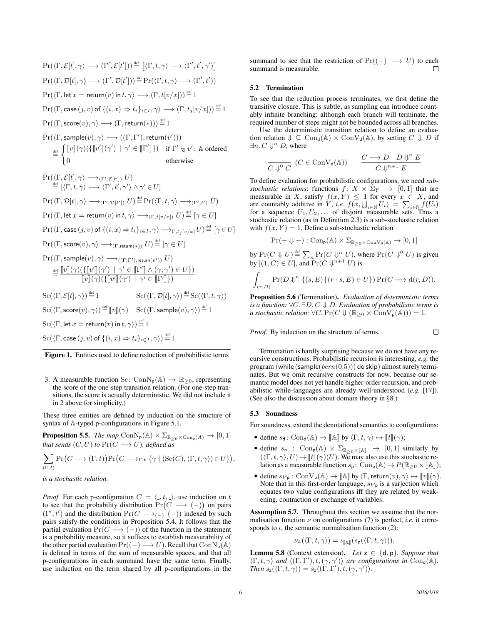$$
\Pr(\langle \Gamma, \mathcal{E}[t], \gamma \rangle \longrightarrow (\Gamma', \mathcal{E}[t']) \stackrel{\text{def}}{=} [\langle \Gamma, t, \gamma \rangle \longrightarrow \langle \Gamma', t', \gamma' \rangle]
$$
\n
$$
\Pr(\langle \Gamma, \mathcal{D}[t], \gamma \rangle \longrightarrow (\Gamma', \mathcal{D}[t']) \stackrel{\text{def}}{=} \Pr(\langle \Gamma, t, \gamma \rangle \longrightarrow (\Gamma', t'))
$$
\n
$$
\Pr(\langle \Gamma, \text{let } x = \text{return}(v) \text{ in } t, \gamma \rangle \longrightarrow (\Gamma, t[v/x])) \stackrel{\text{def}}{=} 1
$$
\n
$$
\Pr(\langle \Gamma, \text{case } (j, v) \text{ of } \{(i, x) \Rightarrow t_i\}_{i \in I}, \gamma \rangle \longrightarrow (\Gamma, t_j[v/x])) \stackrel{\text{def}}{=} 1
$$
\n
$$
\Pr(\langle \Gamma, \text{score}(v), \gamma \rangle \longrightarrow (\Gamma, \text{return}(*))) \stackrel{\text{def}}{=} 1
$$
\n
$$
\Pr(\langle \Gamma, \text{sample}(v), \gamma \rangle \longrightarrow ((\Gamma, \Gamma'), \text{return}(v')))
$$

$$
\stackrel{\text{def}}{=} \begin{cases} \llbracket v \rrbracket(\gamma) (\{\llbracket v' \rrbracket(\gamma') \mid \gamma' \in \llbracket \Gamma' \rrbracket \}) & \text{if } \Gamma' \models v' : \mathbb{A} \text{ ordered} \\ 0 & \text{otherwise} \end{cases}
$$

$$
\Pr(\langle \Gamma, \mathcal{E}[t], \gamma \rangle \longrightarrow_{(\Gamma', \mathcal{E}[t'])} U)
$$
\n
$$
\stackrel{\text{def}}{=} [\langle \Gamma, t, \gamma \rangle \longrightarrow \langle \Gamma', t', \gamma' \rangle \land \gamma' \in U]
$$
\n
$$
\Pr(\langle \Gamma, \mathcal{D}[t], \gamma \rangle \longrightarrow_{(\Gamma', \mathcal{D}[t'])} U) \stackrel{\text{def}}{=} \Pr(\langle \Gamma, t, \gamma \rangle \longrightarrow_{(\Gamma', t')} U)
$$
\n
$$
\Pr(\langle \Gamma, \text{let } x = \text{return}(v) \text{ in } t, \gamma \rangle \longrightarrow_{(\Gamma, t[v/x])} U) \stackrel{\text{def}}{=} [\gamma \in U]
$$
\n
$$
\Pr(\langle \Gamma, \text{case } (j, v) \text{ of } \{(i, x) \Rightarrow t_i\}_{i \in I}, \gamma \rangle \longrightarrow_{\Gamma, t_j[v/x]} U) \stackrel{\text{def}}{=} [\gamma \in U]
$$
\n
$$
\Pr(\langle \Gamma, \text{score}(v), \gamma \rangle \longrightarrow_{(\Gamma, \text{return}(*))} U) \stackrel{\text{def}}{=} [\gamma \in U]
$$
\n
$$
\Pr(\langle \Gamma, \text{sample}(v), \gamma \rangle \longrightarrow_{((\Gamma, \Gamma'), \text{return}(v'))} U)
$$
\n
$$
\stackrel{\text{def}}{=} \frac{[v] (\gamma) (\{[v']] (\gamma') \mid \gamma' \in [[\Gamma']] \land (\gamma, \gamma') \in U\})}{[v] (\gamma) (\{[v']] (\gamma') \mid \gamma' \in [\Gamma']\})}
$$
\n
$$
\text{Sc}(\langle \Gamma, \mathcal{E}[t], \gamma \rangle) \stackrel{\text{def}}{=} 1 \qquad \text{Sc}(\langle \Gamma, \mathcal{D}[t], \gamma \rangle) \stackrel{\text{def}}{=} \text{Sc}(\langle \Gamma, t, \gamma \rangle)
$$
\n
$$
\text{Sc}(\langle \Gamma, \text{score}(v), \gamma \rangle) \stackrel{\text{def}}{=} [v] (\gamma) \quad \text{Sc}(\langle \Gamma, \text{sample}(v), \gamma \rangle) \stackrel{\text{def}}{=} 1
$$
\n
$$
\text{Sc}(\langle \Gamma, \text{let } x = \text{return}(v) \text{ in } t, \gamma \rangle) \stackrel{\text{def}}{=} 1
$$
\n
$$
\text{Sc}(\langle \
$$

Figure 1. Entities used to define reduction of probabilistic terms

3. A measurable function Sc: Con $N_p(A) \rightarrow \mathbb{R}_{\geq 0}$ , representing the score of the one-step transition relation. (For one-step transitions, the score is actually deterministic. We did not include it in 2 above for simplicity.)

These three entities are defined by induction on the structure of syntax of A-typed p-configurations in Figure 5.1.

**Proposition 5.5.** *The map*  $\text{ConN}_p(\mathbb{A}) \times \Sigma_{\mathbb{R}_{\geq 0} \times \text{Con}_p(A)} \rightarrow [0, 1]$ *that sends*  $(C, U)$  *to*  $Pr(C \rightarrow U)$ *, defined as* 

$$
\sum_{(\Gamma,t)} \Pr\big(C \longrightarrow (\Gamma,t)\big) \Pr\big(C \longrightarrow_{\Gamma,t} \{\gamma \mid (\mathrm{Sc}(C), \langle \Gamma, t, \gamma \rangle) \in U\}\big),
$$

## *is a stochastic relation.*

*Proof.* For each p-configuration  $C = \langle ., t, . \rangle$ , use induction on t to see that the probability distribution  $Pr(C \longrightarrow (-))$  on pairs  $(\Gamma', t')$  and the distribution  $Pr(C \longrightarrow_{(-)} (-))$  indexed by such pairs satisfy the conditions in Proposition 5.4. It follows that the partial evaluation  $Pr(C \longrightarrow (-))$  of the function in the statement is a probability measure, so it suffices to establish measurability of the other partial evaluation  $Pr((-) \longrightarrow U)$ . Recall that  $ConN_p(\mathbb{A})$ is defined in terms of the sum of measurable spaces, and that all p-configurations in each summand have the same term. Finally, use induction on the term shared by all p-configurations in the

summand to see that the restriction of  $Pr((-) \longrightarrow U)$  to each summand is measurable.  $\Box$ 

#### 5.2 Termination

To see that the reduction process terminates, we first define the transitive closure. This is subtle, as sampling can introduce countably infinite branching; although each branch will terminate, the required number of steps might not be bounded across all branches.

Use the deterministic transition relation to define an evaluation relation  $\Downarrow \subseteq \text{Con}_{d}(\mathbb{A}) \times \text{Con}_{d}(\mathbb{A})$ , by setting  $C \Downarrow D$  if  $\exists n. C \Downarrow^n D$ , where

$$
\frac{C\downarrow^0 C}(C \in \text{ConV}_d(\mathbb{A})) \qquad \frac{C \longrightarrow D \quad D \Downarrow^n E}{C \Downarrow^{n+1} E}
$$

To define evaluation for probabilistic configurations, we need *substochastic relations:* functions  $f: X \times \Sigma_Y \rightarrow [0, 1]$  that are measurable in X, satisfy  $f(x, Y) \leq 1$  for every  $x \in X$ , and are countably additive in Y, *i.e.*  $f(x, \bigcup_{i \in \mathbb{N}} U_i) = \sum_{i \in \mathbb{N}} f(U_i)$ for a sequence  $U_1, U_2, \ldots$  of disjoint measurable sets. Thus a stochastic relation (as in Definition 2.3) is a sub-stochastic relation with  $f(x, Y) = 1$ . Define a sub-stochastic relation

$$
\Pr(-\Downarrow-): \mathrm{Con}_p(\mathbb{A})\times \Sigma_{\mathbb{R}_{>0}\times \mathrm{Con}V_p(\mathbb{A})}\rightarrow [0,1]
$$

by  $Pr(C \Downarrow U) \stackrel{\text{def}}{=} \sum_n Pr(C \Downarrow^n U)$ , where  $Pr(C \Downarrow^0 U)$  is given by  $[(1, C) \in U]$ , and  $Pr(C \Downarrow^{n+1} U)$  is

$$
\int_{(r,D)} \Pr(D \Downarrow^n \{ (s,E) \mid (r \cdot s, E) \in U \}) \Pr(C \longrightarrow d(r,D)).
$$

Proposition 5.6 (Termination). *Evaluation of deterministic terms is a function:* ∀C. ∃D. C ⇓ D*. Evaluation of probabilistic terms is a stochastic relation:*  $\forall C. \Pr(C \Downarrow (\mathbb{R}_{\geq 0} \times \text{ConV}_{p}(\mathbb{A}))) = 1.$ 

*Proof.* By induction on the structure of terms.

 $\Box$ 

Termination is hardly surprising because we do not have any recursive constructions. Probabilistic recursion is interesting, *e.g.* the program (while (sample( $bern(0.5)$ )) do skip) almost surely terminates. But we omit recursive constructs for now, because our semantic model does not yet handle higher-order recursion, and probabilistic while-languages are already well-understood (*e.g.* [17]). (See also the discussion about domain theory in §8.)

#### 5.3 Soundness

For soundness, extend the denotational semantics to configurations:

- define  $s_d$ : Con<sub>d</sub>( $\mathbb{A}) \to [\![\mathbb{A}]\!]$  by  $\langle \Gamma, t, \gamma \rangle \mapsto [\![t]\!](\gamma)$ ;
- define  $s_p$  : Con<sub>p</sub>(A)  $\times \Sigma_{\mathbb{R}_{\geq 0}\times[\![\mathbb{A}]\!]}\rightarrow [0,1]$  similarly by  $({\langle} \Gamma, t, \gamma, U) \mapsto [t] | (\gamma)(U)$ . We may also use this stochastic relation as a measurable function  $s_p$ :  $Con_p(\mathbb{A}) \to P(\mathbb{R}_{\geq 0} \times \llbracket \mathbb{A} \rrbracket);$
- define  $s_{V_p} : \text{ConV}_p(\mathbb{A}) \to [\![\mathbb{A}]\!]$  by  $\langle \Gamma, \text{return}(v), \gamma \rangle \mapsto [\![v]\!](\gamma)$ . Note that in this first-order language,  $s_{V_p}$  is a surjection which equates two value configurations iff they are related by weakening, contraction or exchange of variables.

Assumption 5.7. Throughout this section we assume that the normalisation function  $\nu$  on configurations (7) is perfect, *i.e.* it corresponds to  $\iota$ , the semantic normalisation function (2):

$$
\nu_{\mathbb{A}}(\langle \Gamma, t, \gamma \rangle) = \iota_{\llbracket \mathbb{A} \rrbracket}(s_{\mathsf{p}}(\langle \Gamma, t, \gamma \rangle)).
$$

**Lemma 5.8** (Context extension). *Let*  $z \in \{d, p\}$ *. Suppose that*  $\langle \Gamma, t, \gamma \rangle$  and  $\langle (\Gamma, \Gamma'), t, (\gamma, \gamma') \rangle$  are configurations in Con<sub>d</sub>(A).  $\text{Then } s_{\mathsf{z}}(\langle \Gamma, t, \gamma \rangle) = s_{\mathsf{z}} \langle (\Gamma, \Gamma'), t, (\gamma, \gamma') \rangle.$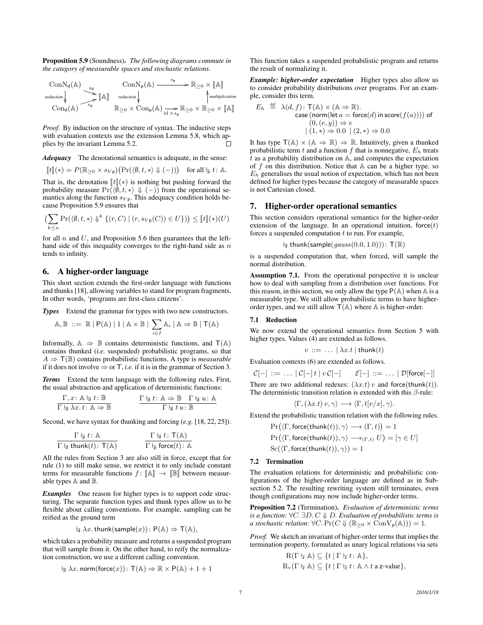Proposition 5.9 (Soundness). *The following diagrams commute in the category of measurable spaces and stochastic relations.*

$$
\begin{array}{ccc}\n\text{ConN}_d(\mathbb{A}) & \xrightarrow{s_d} & \text{ConN}_p(\mathbb{A}) \xrightarrow{\quad s_p} & \mathbb{R}_{\geq 0} \times [\![\mathbb{A}]\!] \\
\text{reduction}\n\downarrow & \xrightarrow{\quad s_d} [\![\mathbb{A}]\!] & \text{reduction}\n\downarrow & \uparrow \\
\text{Cond}(\mathbb{A}) & \xrightarrow{s_d} & \mathbb{R}_{\geq 0} \times \text{Con}_p(\mathbb{A}) \xrightarrow{\quad s_p} \mathbb{R}_{\geq 0} \times \mathbb{R}_{\geq 0} \times [\![\mathbb{A}]\!]\n\end{array}
$$

*Proof.* By induction on the structure of syntax. The inductive steps with evaluation contexts use the extension Lemma 5.8, which applies by the invariant Lemma 5.2.  $\Box$ 

*Adequacy* The denotational semantics is adequate, in the sense:

$$
[\![t]\!](*) = P(\mathbb{R}_{\geq 0} \times s_{V\mathfrak{p}}) \big( \Pr(\langle \emptyset, t, * \rangle \Downarrow (-)) \big) \quad \text{for all } \mathsf{h}_{\overline{\mathfrak{p}}} \ t \colon \mathbb{A}.
$$

That is, the denotation  $\llbracket t \rrbracket(*)$  is nothing but pushing forward the probability measure  $\Pr(\langle \emptyset, t, * \rangle \Downarrow (-))$  from the operational semantics along the function  $s_{V_p}$ . This adequacy condition holds because Proposition 5.9 ensures that

$$
\left(\sum_{k\leq n} \Pr(\langle \emptyset, t, \ast \rangle \Downarrow^k \{ (r, C) \mid (r, s_{Vp}(C)) \in U \} )\right) \leq [t] (\ast)(U)
$$

for all  $n$  and  $U$ , and Proposition 5.6 then guarantees that the lefthand side of this inequality converges to the right-hand side as  $n$ tends to infinity.

## 6. A higher-order language

This short section extends the first-order language with functions and thunks [18], allowing variables to stand for program fragments. In other words, 'programs are first-class citizens'.

*Types* Extend the grammar for types with two new constructors.

$$
\mathbb{A}, \mathbb{B} \ ::= \ \mathbb{R} \mid \mathsf{P}(\mathbb{A}) \mid 1 \mid \mathbb{A} \times \mathbb{B} \mid \sum_{i \in I} \mathbb{A}_i \mid \mathbb{A} \Rightarrow \mathbb{B} \mid \mathsf{T}(\mathbb{A})
$$

Informally,  $\mathbb{A} \Rightarrow \mathbb{B}$  contains deterministic functions, and  $\mathsf{T}(\mathbb{A})$ contains thunked (*i.e.* suspended) probabilistic programs, so that A ⇒ T(B) contains probabilistic functions. A type is *measurable* if it does not involve  $\Rightarrow$  or T, *i.e.* if it is in the grammar of Section 3.

*Terms* Extend the term language with the following rules. First, the usual abstraction and application of deterministic functions:

$$
\frac{\Gamma, x \colon \mathbb{A} \vdash_{\mathbf{d}} t \colon \mathbb{B}}{\Gamma \vdash_{\mathbf{d}} \lambda x \ldots \land x \Rightarrow \mathbb{B}}
$$
\n
$$
\frac{\Gamma \vdash_{\mathbf{d}} t \colon \mathbb{A} \Rightarrow \mathbb{B} \quad \Gamma \vdash_{\mathbf{d}} u \colon \mathbb{A}}{\Gamma \vdash_{\mathbf{d}} t \, u \colon \mathbb{B}}
$$

Second, we have syntax for thunking and forcing (*e.g.* [18, 22, 25]).

$$
\frac{\Gamma \vdash_{\mathsf{P}} t : \mathbb{A}}{\Gamma \vdash_{\mathsf{Q}} \text{thunk}(t) : \mathsf{T}(\mathbb{A})} \qquad \qquad \frac{\Gamma \vdash_{\mathsf{Q}} t : \mathsf{T}(\mathbb{A})}{\Gamma \vdash_{\mathsf{P}} \text{ force}(t) : \mathbb{A}}
$$

All the rules from Section 3 are also still in force, except that for rule (1) to still make sense, we restrict it to only include constant terms for measurable functions  $f: \llbracket \mathbb{A} \rrbracket \rightarrow \llbracket \mathbb{B} \rrbracket$  between measurable types A and B.

*Examples* One reason for higher types is to support code structuring. The separate function types and thunk types allow us to be flexible about calling conventions. For example, sampling can be reified as the ground term

$$
\vdash_{\mathsf{d}} \lambda x. \mathsf{thunk}(\mathsf{sample}(x)) \colon \mathsf{P}(\mathbb{A}) \Rightarrow \mathsf{T}(\mathbb{A}),
$$

which takes a probability measure and returns a suspended program that will sample from it. On the other hand, to reify the normalization construction, we use a different calling convention.

$$
\vdash_{\mathsf{d}} \lambda x.\ \mathsf{norm}(\mathsf{force}(x))\colon \mathsf{T}(\mathbb{A}) \Rightarrow \mathbb{R} \times \mathsf{P}(\mathbb{A}) + 1 + 1
$$

This function takes a suspended probabilistic program and returns the result of normalizing it.

*Example: higher-order expectation* Higher types also allow us to consider probability distributions over programs. For an example, consider this term.

$$
E_h \stackrel{\text{def}}{=} \lambda(d, f) \colon \mathsf{T}(\mathbb{A}) \times (\mathbb{A} \Rightarrow \mathbb{R}).
$$
  
\n
$$
\text{case } (\text{norm}(\text{let } a = \text{force}(d) \text{ in score}(f(a)))) \text{ of }
$$
  
\n
$$
(0, (e, y)) \Rightarrow e
$$
  
\n
$$
|(1, *) \Rightarrow 0.0 | (2, *) \Rightarrow 0.0
$$

It has type  $T(\mathbb{A}) \times (\mathbb{A} \Rightarrow \mathbb{R}) \Rightarrow \mathbb{R}$ . Intuitively, given a thunked probabilistic term t and a function f that is nonnegative,  $E_h$  treats  $t$  as a probability distribution on  $A$ , and computes the expectation of  $f$  on this distribution. Notice that  $A$  can be a higher type, so  $E<sub>h</sub>$  generalises the usual notion of expectation, which has not been defined for higher types because the category of measurable spaces is not Cartesian closed.

## 7. Higher-order operational semantics

This section considers operational semantics for the higher-order extension of the language. In an operational intuition, force $(t)$ forces a suspended computation  $t$  to run. For example,

$$
\vdash_{\exists}
$$
thunk(sample(*gauss*(0.0, 1.0))): T( $\mathbb{R}$ )

is a suspended computation that, when forced, will sample the normal distribution.

Assumption 7.1. From the operational perspective it is unclear how to deal with sampling from a distribution over functions. For this reason, in this section, we only allow the type  $P(A)$  when A is a measurable type. We still allow probabilistic terms to have higherorder types, and we still allow  $T(A)$  where A is higher-order.

#### 7.1 Reduction

We now extend the operational semantics from Section 5 with higher types. Values (4) are extended as follows.

$$
v ::= \ldots | \lambda x.t | \mathsf{thunk}(t)
$$

Evaluation contexts (6) are extended as follows.

$$
\mathcal{C}[-] ::= \ldots | \mathcal{C}[-]t | v\mathcal{C}[-] \qquad \mathcal{E}[-] ::= \ldots | \mathcal{D}[\text{force}[-]]
$$

There are two additional redexes:  $(\lambda x.t) v$  and force(thunk(t)). The deterministic transition relation is extended with this  $\beta$ -rule:

$$
\langle \Gamma, (\lambda x.t) v, \gamma \rangle \longrightarrow \langle \Gamma, t[v/x], \gamma \rangle.
$$

Extend the probabilistic transition relation with the following rules.

$$
\Pr(\langle \Gamma, \text{force}(\text{thunk}(t)), \gamma \rangle \longrightarrow (\Gamma, t)) = 1
$$
  
 
$$
\Pr(\langle \Gamma, \text{force}(\text{thunk}(t)), \gamma \rangle \longrightarrow_{(\Gamma, t)} U) = [\gamma \in U]
$$
  
 
$$
\operatorname{Sc}(\langle \Gamma, \text{force}(\text{thunk}(t)), \gamma \rangle) = 1
$$

#### 7.2 Termination

The evaluation relations for deterministic and probabilistic configurations of the higher-order language are defined as in Subsection 5.2. The resulting rewriting system still terminates, even though configurations may now include higher-order terms.

Proposition 7.2 (Termination). *Evaluation of deterministic terms is a function:* ∀C. ∃D. C ⇓ D*. Evaluation of probabilistic terms is a stochastic relation:* ∀*C*.  $Pr(C \Downarrow (\mathbb{R}_{\geq 0} \times \text{ConV}_{\mathsf{p}}(\mathbb{A}))) = 1$ .

*Proof.* We sketch an invariant of higher-order terms that implies the termination property, formulated as unary logical relations via sets

$$
R(\Gamma \models A) \subseteq \{t \mid \Gamma \models t : A\},
$$
  

$$
R_v(\Gamma \models A) \subseteq \{t \mid \Gamma \models t : A \land t \text{ a z-value}\},
$$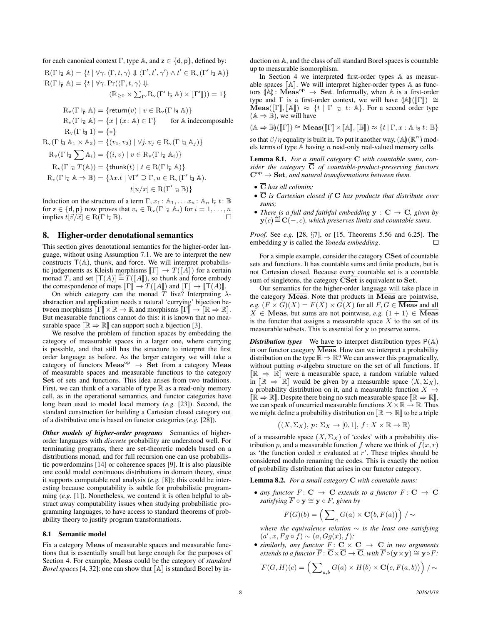for each canonical context  $\Gamma$ , type  $\mathbb{A}$ , and  $z \in \{d, p\}$ , defined by:  $R(\Gamma \nmid \mathbb{A}) = \{ t \mid \forall \gamma. \langle \Gamma, t, \gamma \rangle \Downarrow \langle \Gamma', t', \gamma' \rangle \land t' \in R_{\mathrm{v}}(\Gamma' \nmid \mathbb{A}) \}$  $R(\Gamma \models \mathbb{A}) = \{t \mid \forall \gamma. Pr(\langle \Gamma, t, \gamma \rangle \Downarrow$  $(\mathbb{R}_{\geq 0} \times \sum_{\Gamma'} R_{\nu}(\Gamma' \models_{\mathsf{p}} \mathbb{A}) \times [\![\Gamma']\!]) ) = 1 \}$  $R_v(\Gamma \vdash_{\mathsf{D}} \mathbb{A}) = \{ \mathsf{return}(v) \mid v \in R_v(\Gamma \vdash_{\mathsf{D}} \mathbb{A}) \}$  $R_v(\Gamma \nvert_{\mathcal{A}} \mathbb{A}) = \{x \mid (x : \mathbb{A}) \in \Gamma\}$  for A indecomposable  $R_v(\Gamma \mid_{\mathfrak{q}} 1) = \{ * \}$  $R_v(\Gamma \nvert_{\mathbf{d}} \mathbb{A}_1 \times \mathbb{A}_2) = \{(v_1, v_2) \mid \forall j, v_j \in R_v(\Gamma \nvert_{\mathbf{d}} \mathbb{A}_j)\}\$  $\mathrm{R}_{\mathrm{v}}(\Gamma \nmid_{\overline{\mathsf{d}}}\sum \mathbb{A}_i) = \{(i, v) \mid v \in \mathrm{R}_{\mathrm{v}}(\Gamma \nmid_{\overline{\mathsf{d}}} \mathbb{A}_i)\}$  $R_v(\Gamma \nmid T(\mathbb{A})) = \{ \text{thunk}(t) \mid t \in R(\Gamma \nmid \mathbb{A}) \}$  $R_v(\Gamma \nmid_{\mathsf{d}} \mathbb{A} \Rightarrow \mathbb{B}) = \{ \lambda x. t \mid \forall \Gamma' \supseteq \Gamma, u \in R_v(\Gamma' \nmid_{\mathsf{d}} \mathbb{A}).$  $t[u/x] \in R(\Gamma' \models \mathbb{B})\}$ 

Induction on the structure of a term  $\Gamma, x_1 : \mathbb{A}_1, \dots x_n : \mathbb{A}_n \models t : \mathbb{B}$ for  $z \in \{d, p\}$  now proves that  $v_i \in R_v(\Gamma \nvert_{\mathcal{A}} \mathbb{A}_i)$  for  $i = 1, ..., n$ <br>implies  $t_i | \vec{v}/\vec{v} | \in R(\Gamma \nvert_{\mathcal{A}} \mathbb{R})$ implies  $t[\vec{v}/\vec{x}] \in \overline{R(\Gamma \vdash z \mathbb{B})}$ .

#### 8. Higher-order denotational semantics

This section gives denotational semantics for the higher-order language, without using Assumption 7.1. We are to interpret the new constructs  $T(A)$ , thunk, and force. We will interpret probabilistic judgements as Kleisli morphisms  $\llbracket \Gamma \rrbracket \to T(\llbracket A \rrbracket)$  for a certain monad T, and set  $[T(A)] \stackrel{\text{def}}{=} T([A]),$  so thunk and force embody<br>the correspondence of maps  $[\Gamma] \rightarrow T([A])$  and  $[\Gamma] \rightarrow [\Gamma(A)]$ the correspondence of maps  $\llbracket \Gamma \rrbracket \to T(\llbracket A \rrbracket)$  and  $\llbracket \Gamma \rrbracket \to \llbracket \mathsf{T}(A) \rrbracket$ .

On which category can the monad T live? Interpreting  $\lambda$ abstraction and application needs a natural 'currying' bijection between morphisms  $\llbracket \Gamma \rrbracket \times \mathbb{R} \to \mathbb{R}$  and morphisms  $\llbracket \Gamma \rrbracket \to \llbracket \mathbb{R} \to \mathbb{R} \rrbracket$ . But measurable functions cannot do this: it is known that no measurable space  $\mathbb{R} \Rightarrow \mathbb{R}$  can support such a bijection [3].

We resolve the problem of function spaces by embedding the category of measurable spaces in a larger one, where currying is possible, and that still has the structure to interpret the first order language as before. As the larger category we will take a category of functors  $Meas^{\text{op}} \rightarrow \text{Set}$  from a category Meas of measurable spaces and measurable functions to the category Set of sets and functions. This idea arises from two traditions. First, we can think of a variable of type  $\mathbb R$  as a read-only memory cell, as in the operational semantics, and functor categories have long been used to model local memory (*e.g.* [23]). Second, the standard construction for building a Cartesian closed category out of a distributive one is based on functor categories (*e.g.* [28]).

*Other models of higher-order programs* Semantics of higherorder languages with *discrete* probability are understood well. For terminating programs, there are set-theoretic models based on a distributions monad, and for full recursion one can use probabilistic powerdomains [14] or coherence spaces [9]. It is also plausible one could model continuous distributions in domain theory, since it supports computable real analysis (*e.g.* [8]); this could be interesting because computability is subtle for probabilistic programming (*e.g.* [1]). Nonetheless, we contend it is often helpful to abstract away computability issues when studying probabilistic programming languages, to have access to standard theorems of probability theory to justify program transformations.

#### 8.1 Semantic model

Fix a category Meas of measurable spaces and measurable functions that is essentially small but large enough for the purposes of Section 4. For example, Meas could be the category of *standard Borel spaces* [4, 32]: one can show that  $\mathbb{A}$  is standard Borel by induction on A, and the class of all standard Borel spaces is countable up to measurable isomorphism.

In Section 4 we interpreted first-order types A as measurable spaces  $\llbracket A \rrbracket$ . We will interpret higher-order types  $A$  as functors  $(A)$ : Meas<sup>op</sup>  $\rightarrow$  Set. Informally, when A is a first-order type and  $\Gamma$  is a first-order context, we will have  $(\mathbb{A})(\llbracket \Gamma \rrbracket) \cong$  $\text{Meas}(\llbracket \Gamma \rrbracket, \llbracket \mathbb{A} \rrbracket) \approx \{ t \mid \Gamma \vdash a \ t : \mathbb{A} \}.$  For a second order type  $(A \Rightarrow B)$ , we will have

 $(\mathbb{A} \Rightarrow \mathbb{B})(\llbracket \Gamma \rrbracket) \cong \mathbf{Meas}(\llbracket \Gamma \rrbracket \times \llbracket \mathbb{A} \rrbracket, \llbracket \mathbb{B} \rrbracket) \approx \{t \mid \Gamma, x : \mathbb{A} \models t : \mathbb{B}\}$ 

so that  $\beta/\eta$  equality is built in. To put it another way,  $(\mathbb{A})(\mathbb{R}^n)$  models terms of type  $\mathbb{A}$  baying n read-only real-valued memory cells els terms of type A having n read-only real-valued memory cells.

Lemma 8.1. *For a small category* C *with countable sums, consider the category* C *of countable-product-preserving functors*  $C^{\rm op} \to \operatorname{Set}$ , and natural transformations between them.

- C *has all colimits;*
- C *is Cartesian closed if* C *has products that distribute over sums;*
- *There is a full and faithful embedding*  $y : C \rightarrow \overline{C}$ *, given by*  $\mathbf{y}(c) \stackrel{\textit{\tiny def}}{=} \mathbf{C}(-,c)$ , which preserves limits and countable sums.

*Proof.* See *e.g.* [28, §7], or [15, Theorems 5.56 and 6.25]. The embedding y is called the *Yoneda embedding*. П

For a simple example, consider the category CSet of countable sets and functions. It has countable sums and finite products, but is not Cartesian closed. Because every countable set is a countable sum of singletons, the category CSet is equivalent to Set.

Our semantics for the higher-order language will take place in the category  $\overline{\text{Meas}}$ . Note that products in  $\overline{\text{Meas}}$  are pointwise, *e.g.*  $(F \times G)(X) = F(X) \times G(X)$  for all  $F, G \in \overline{\text{Meas}}$  and all  $X \in \mathbf{Meas}$ , but sums are not pointwise, *e.g.*  $(1 + 1) \in \overline{\mathbf{Meas}}$ is the functor that assigns a measurable space  $\hat{X}$  to the set of its measurable subsets. This is essential for y to preserve sums.

*Distribution types* We have to interpret distribution types  $P(A)$ in our functor category  $\overline{\text{Meas}}$ . How can we interpret a probability distribution on the type  $\mathbb{R} \Rightarrow \mathbb{R}$ ? We can answer this pragmatically, without putting  $\sigma$ -algebra structure on the set of all functions. If  $\mathbb{R} \Rightarrow \mathbb{R}$  were a measurable space, a random variable valued in  $\mathbb{R} \Rightarrow \mathbb{R}$  would be given by a measurable space  $(X, \Sigma_X)$ , a probability distribution on it, and a measurable function  $X \rightarrow$  $\mathbb{IR} \Rightarrow \mathbb{R}$ . Despite there being no such measurable space  $\mathbb{IR} \Rightarrow \mathbb{R}$ , we can speak of uncurried measurable functions  $X \times \mathbb{R} \to \mathbb{R}$ . Thus we might define a probability distribution on  $[\mathbb{R} \Rightarrow \mathbb{R}]$  to be a triple

$$
((X,\Sigma_X), p \colon \Sigma_X \to [0,1], f \colon X \times \mathbb{R} \to \mathbb{R})
$$

of a measurable space  $(X, \Sigma_X)$  of 'codes' with a probability distribution p, and a measurable function f where we think of  $f(x, r)$ as 'the function coded  $x$  evaluated at  $r$ '. These triples should be considered modulo renaming the codes. This is exactly the notion of probability distribution that arises in our functor category.

Lemma 8.2. *For a small category* C *with countable sums:*

• any functor  $F: \mathbf{C} \to \mathbf{C}$  extends to a functor  $\overline{F}: \overline{\mathbf{C}} \to \overline{\mathbf{C}}$ *satisfying*  $\overline{F} \circ y \cong y \circ F$ *, given by* 

$$
\overline{F}(G)(b) = \left(\sum\nolimits_a G(a) \times \mathbf{C}\big(b, F(a)\big)\right) / \sim
$$

*where the equivalence relation* ∼ *is the least one satisfying*  $(a', x, Fg \circ f) \sim (a, Gg(x), f);$ 

• *similarly, any functor*  $F: \mathbf{C} \times \mathbf{C} \rightarrow \mathbf{C}$  *in two arguments extends to a functor*  $\overline{F}$  :  $\overline{\bf C}\times\overline{\bf C}\to\overline{\bf C}$ *, with*  $\overline{F}\circ({\bf y}\times{\bf y})\cong {\bf y}\circ F$ *:* 

$$
\overline{F}(G,H)(c) = \left(\sum\nolimits_{a,b} G(a) \times H(b) \times \mathbf{C}(c, F(a,b))\right) / \sim
$$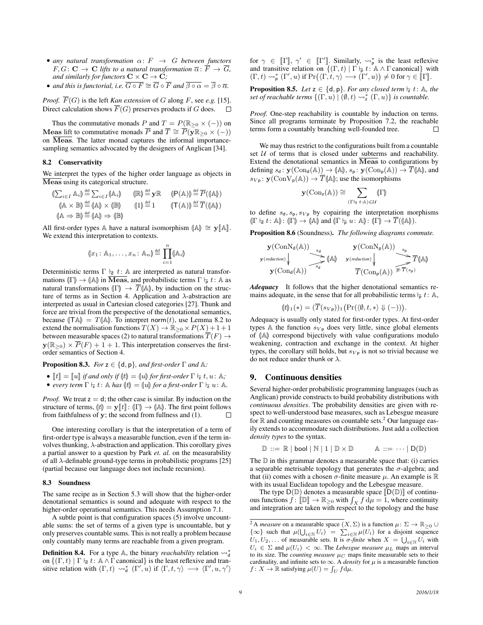- *any natural transformation* α: F → G *between functors*  $F, G: \mathbf{C} \to \mathbf{C}$  *lifts to a natural transformation*  $\overline{\alpha}: \overline{F} \to \overline{G}$ *, and similarly for functors*  $C \times C \rightarrow C$ *;*
- *and this is functorial, i.e.*  $\overline{G \circ F} \cong \overline{G} \circ \overline{F}$  *and*  $\overline{\beta \circ \alpha} = \overline{\beta} \circ \overline{\alpha}$ *.*

*Proof.*  $\overline{F}(G)$  is the left *Kan extension* of G along F, see e.g. [15]. Direct calculation shows  $\overline{F}(G)$  preserves products if G does.  $\Box$ 

Thus the commutative monads P and  $T = P(\mathbb{R}_{\geq 0} \times (-))$  on Meas lift to commutative monads  $\overline{P}$  and  $\overline{T} \cong \overline{P}(\overline{\mathbf{y}}\mathbb{R}_{\geq 0} \times (-))$ on Meas. The latter monad captures the informal importancesampling semantics advocated by the designers of Anglican [34].

#### 8.2 Conservativity

We interpret the types of the higher order language as objects in Meas using its categorical structure.

$$
\begin{array}{ll}\n\left(\sum_{i\in I} A_i\right) \stackrel{\text{def}}{=} \sum_{i\in I} (\mathbb{A}_i) & \left(\mathbb{R}\right) \stackrel{\text{def}}{=} \mathbb{y} \mathbb{R} & \left(\mathsf{P}(\mathbb{A})\right) \stackrel{\text{def}}{=} \overline{P}((\mathbb{A})) \\
\left(\mathbb{A} \times \mathbb{B}\right) \stackrel{\text{def}}{=} (\mathbb{A}) \times (\mathbb{B}) & \left(1\right) \stackrel{\text{def}}{=} 1 & \left(\mathsf{T}(\mathbb{A})\right) \stackrel{\text{def}}{=} \overline{T}((\mathbb{A})) \\
\left(\mathbb{A} \Rightarrow \mathbb{B}\right) \stackrel{\text{def}}{=} (\mathbb{A}) \Rightarrow (\mathbb{B})\n\end{array}
$$

All first-order types A have a natural isomorphism  $\llbracket A \rrbracket \cong y \llbracket A \rrbracket$ . We extend this interpretation to contexts.

$$
(\![x_1\!:\mathbb{A}_1,\ldots,x_n\!:\mathbb{A}_n]\!)\stackrel{\text{def}}{=}\prod_{i=1}^n(\![\mathbb{A}_i]\!)
$$

Deterministic terms  $\Gamma \nightharpoonup t$ : A are interpreted as natural transformations  $(\Gamma) \to (\mathbb{A})$  in  $\overline{\text{Meas}}$ , and probabilistic terms  $\Gamma \vdash_{\overline{p}} t: \mathbb{A}$  as natural transformations  $\Vert \Gamma \Vert \to \overline{T} \Vert A \Vert$ , by induction on the structure of terms as in Section 4. Application and λ-abstraction are interpreted as usual in Cartesian closed categories [27]. Thunk and force are trivial from the perspective of the denotational semantics, because  $(TA) = T(A)$ . To interpret norm(*t*), use Lemma 8.2 to extend the normalisation functions  $T(X) \to \mathbb{R}_{\geq 0} \times P(X) + 1 + 1$ between measurable spaces (2) to natural transformations  $\overline{T}(F) \rightarrow$  $y(\mathbb{R}_{\geq 0}) \times \overline{P}(F) + 1 + 1$ . This interpretation conserves the firstorder semantics of Section 4.

**Proposition 8.3.** *For*  $z \in \{d, p\}$ *, and first-order*  $\Gamma$  *and*  $\mathbb{A}$ *:* 

• 
$$
\llbracket t \rrbracket = \llbracket u \rrbracket
$$
 if and only if  $\langle t \rbracket = \langle u \rbracket$  for first-order  $\Gamma \models t, u: \mathbb{A}$ ;

• *every term*  $\Gamma \models t: \mathbb{A}$  *has*  $(t) = (u)$  *for a first-order*  $\Gamma \models u: \mathbb{A}$ *.* 

*Proof.* We treat  $z = d$ ; the other case is similar. By induction on the structure of terms,  $\lbrack t \rbrack = \mathbf{y} \lbrack\lbrack t \rbrack \rbrack$ :  $\lbrack \Gamma \rbrack \rightarrow \lbrack \mathbb{A} \rbrack$ . The first point follows from faithfulness of **v**: the second from fullness and (1). from faithfulness of y; the second from fullness and (1).

One interesting corollary is that the interpretation of a term of first-order type is always a measurable function, even if the term involves thunking,  $\lambda$ -abstraction and application. This corollary gives a partial answer to a question by Park *et. al.* on the measurability of all  $\lambda$ -definable ground-type terms in probabilistic programs [25] (partial because our language does not include recursion).

#### 8.3 Soundness

The same recipe as in Section 5.3 will show that the higher-order denotational semantics is sound and adequate with respect to the higher-order operational semantics. This needs Assumption 7.1.

A subtle point is that configuration spaces (5) involve uncountable sums: the set of terms of a given type is uncountable, but y only preserves countable sums. This is not really a problem because only countably many terms are reachable from a given program.

**Definition 8.4.** For a type  $\mathbb{A}$ , the binary *reachability* relation  $\rightsquigarrow_d^*$ on  $\{(\Gamma, t) \mid \Gamma \vdash d t: \mathbb{A} \wedge \Gamma \text{ canonical}\}\$ is the least reflexive and transitive relation with  $(\Gamma, t) \leadsto_d^* (\Gamma', u)$  if  $\langle \Gamma, t, \gamma \rangle \longrightarrow \langle \Gamma', u, \gamma' \rangle$  for  $\gamma \in [\![\Gamma]\!]$ ,  $\gamma' \in [\![\Gamma']\!]$ . Similarly,  $\leadsto_p^*$  is the least reflexive and transitive relation on  $\{(\Gamma, t) \mid \Gamma \models t : \mathbb{A} \land \Gamma \text{ canonical}\}$  with  $(\Gamma, t) \rightsquigarrow^*_{\mathsf{p}} (\Gamma', u) \text{ if } \Pr((\Gamma, t, \gamma) \longrightarrow (\Gamma', u)) \neq 0 \text{ for } \gamma \in [\![\Gamma]\!]$ .

**Proposition 8.5.** *Let*  $z \in \{d, p\}$ *. For any closed term*  $\frac{1}{z}t$ *: A, the set of reachable terms*  $\{(\Gamma, u) \mid (\emptyset, t) \leadsto_{\mathsf{z}}^* (\Gamma, u)\}$  *is countable.* 

*Proof.* One-step reachability is countable by induction on terms. Since all programs terminate by Proposition 7.2, the reachable terms form a countably branching well-founded tree. П

We may thus restrict to the configurations built from a countable set  $U$  of terms that is closed under subterms and reachability. Extend the denotational semantics in  $\overline{\text{Meas}}$  to configurations by defining  $s_d$ :  $\mathbf{y}(\text{Con}_d(\mathbb{A})) \to (\mathbb{A}), s_p$ :  $\mathbf{y}(\text{Con}_p(\mathbb{A})) \to \overline{T}(\mathbb{A}),$  and  $s_{Vp}$ :  $\mathbf{y}(\text{ConV}_{p}(\mathbb{A})) \to \overline{T}(\mathbb{A})$ ; use the isomorphisms

$$
\mathbf{y}(\mathrm{Con}_{\mathsf{z}}(\mathbb{A}))\cong\sum_{(\Gamma\vdash_{\mathsf{z}}t:\mathbb{A})\in\mathcal{U}}\langle\!\!\langle \Gamma\rangle\!\!\rangle
$$

to define  $s_d$ ,  $s_p$ ,  $s_{V_p}$  by copairing the interpretation morphisms  $(\Gamma \vdash_{\overline{d}} t : \mathbb{A}) : (\Gamma) \to (\mathbb{A})$  and  $(\Gamma \vdash_{\overline{p}} u: \mathbb{A}) : (\Gamma) \to \overline{T}((\mathbb{A}))$ .

Proposition 8.6 (Soundness). *The following diagrams commute.*

$$
\mathbf{y}(\operatorname{ConN}_{d}(\mathbb{A})) \longrightarrow \mathbf{y}(\operatorname{ConN}_{p}(\mathbb{A})) \longrightarrow \mathbf{y}(\operatorname{ConN}_{p}(\mathbb{A})) \longrightarrow \mathbf{y}(\operatorname{ConN}_{p}(\mathbb{A})) \longrightarrow \mathbf{y}(\operatorname{ConN}_{d}(\mathbb{A})) \longrightarrow \mathbf{y}(\operatorname{ConN}_{d}(\mathbb{A})) \longrightarrow \mathbf{y}(\operatorname{ConN}_{d}(\mathbb{A})) \longrightarrow \mathbf{y}(\operatorname{ConN}_{d}(\mathbb{A})) \longrightarrow \mathbf{y}(\operatorname{ConN}_{d}(\mathbb{A})) \longrightarrow \mathbf{y}(\operatorname{ConN}_{d}(\mathbb{A})) \longrightarrow \mathbf{y}(\operatorname{ConN}_{d}(\mathbb{A})) \longrightarrow \mathbf{y}(\operatorname{ConN}_{d}(\mathbb{A})) \longrightarrow \mathbf{y}(\operatorname{ConN}_{d}(\mathbb{A})) \longrightarrow \mathbf{y}(\operatorname{ConN}_{d}(\mathbb{A})) \longrightarrow \mathbf{y}(\operatorname{ConN}_{d}(\mathbb{A})) \longrightarrow \mathbf{y}(\operatorname{ConN}_{d}(\mathbb{A})) \longrightarrow \mathbf{y}(\operatorname{ConN}_{d}(\mathbb{A})) \longrightarrow \mathbf{y}(\operatorname{ConN}_{d}(\mathbb{A})) \longrightarrow \mathbf{y}(\operatorname{ConN}_{d}(\mathbb{A})) \longrightarrow \mathbf{y}(\operatorname{ConN}_{d}(\mathbb{A})) \longrightarrow \mathbf{y}(\operatorname{ConN}_{d}(\mathbb{A})) \longrightarrow \mathbf{y}(\operatorname{ConN}_{d}(\mathbb{A})) \longrightarrow \mathbf{y}(\operatorname{ConN}_{d}(\mathbb{A})) \longrightarrow \mathbf{y}(\operatorname{ConN}_{d}(\mathbb{A})) \longrightarrow \mathbf{y}(\operatorname{ConN}_{d}(\mathbb{A})) \longrightarrow \mathbf{y}(\operatorname{ConN}_{d}(\mathbb{A})) \longrightarrow \mathbf{y}(\operatorname{ConN}_{d}(\mathbb{A})) \longrightarrow \mathbf{y}(\operatorname{ConN}_{d}(\mathbb{A})) \longrightarrow \mathbf{y}(\operatorname{ConN}_{d}(\mathbb{A})) \longrightarrow \mathbf{y}(\operatorname{ConN}_{d}(\mathbb{A})) \longrightarrow \mathbf{y}(\operatorname{ConN}_{d}(\mathbb{A})) \longrightarrow \mathbf{y}(\operatorname{ConN}_{d}(\mathbb{A})) \longrightarrow \mathbf{y}(\operatorname{ConN}_{d}(\mathbb{A})) \longrightarrow \
$$

*Adequacy* It follows that the higher denotational semantics remains adequate, in the sense that for all probabilistic terms  $\nvdash p t: A$ ,

$$
(\mathbf{t}\mathbf{t})_1(*)=(\overline{T}(s_{V\mathbf{p}}))_1(\Pr(\langle\emptyset,t,*\rangle\Downarrow(-))).
$$

Adequacy is usually only stated for first-order types. At first-order types A the function  $s_{V_p}$  does very little, since global elements of  $(A)$  correspond bijectively with value configurations modulo weakening, contraction and exchange in the context. At higher types, the corollary still holds, but  $s_{V_p}$  is not so trivial because we do not reduce under thunk or  $\lambda$ .

#### 9. Continuous densities

Several higher-order probabilistic programming languages (such as Anglican) provide constructs to build probability distributions with *continuous densities*. The probability densities are given with respect to well-understood base measures, such as Lebesgue measure for  $\mathbb R$  and counting measures on countable sets.<sup>2</sup> Our language easily extends to accommodate such distributions. Just add a collection *density types* to the syntax.

$$
\mathbb{D} ::= \mathbb{R} | \text{bool} | \mathbb{N} | 1 | \mathbb{D} \times \mathbb{D} \qquad \mathbb{A} ::= \cdots | \mathbb{D}(\mathbb{D})
$$

The  $D$  in this grammar denotes a measurable space that: (i) carries a separable metrisable topology that generates the  $\sigma$ -algebra; and that (ii) comes with a chosen  $\sigma$ -finite measure  $\mu$ . An example is  $\mathbb R$ with its usual Euclidean topology and the Lebesgue measure.

The type  $D(\mathbb{D})$  denotes a measurable space  $[D(\mathbb{D})]$  of continuous functions  $\hat{f}$ :  $[\mathbb{D}] \to \mathbb{R}_{\geq 0}$  with  $\int_X f d\mu = 1$ , where continuity and integration are taken with respect to the topology and the base

<sup>&</sup>lt;sup>2</sup> A *measure* on a measurable space  $(X, \Sigma)$  is a function  $\mu \colon \Sigma \to \mathbb{R}_{\geq 0}$   $\cup$  $\{\infty\}$  such that  $\mu(\bigcup_{i\in\mathbb{N}} U_i) = \sum_{i\in\mathbb{N}} \mu(U_i)$  for a disjoint sequence  $U_1, U_2, \ldots$  of measurable sets. It is  $\sigma$ -finite when  $X = \bigcup_{i \in \mathbb{N}} U_i$  with  $U_i \in \Sigma$  and  $\mu(U_i) < \infty$ . The *Lebesgue measure*  $\mu_L$  maps an interval to its size. The *counting measure*  $\mu_C$  maps finite measurable sets to their cardinality, and infinite sets to  $\infty$ . A *density* for  $\mu$  is a measurable function  $f \colon X \to \mathbb{R}$  satisfying  $\mu(U) = \int_U f d\mu$ .